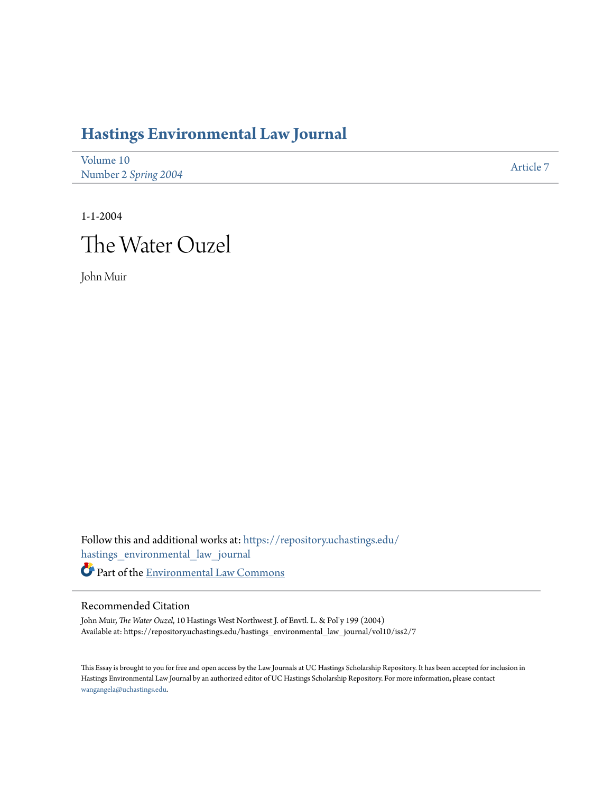## **[Hastings Environmental Law Journal](https://repository.uchastings.edu/hastings_environmental_law_journal?utm_source=repository.uchastings.edu%2Fhastings_environmental_law_journal%2Fvol10%2Fiss2%2F7&utm_medium=PDF&utm_campaign=PDFCoverPages)**

| Volume 10            | Article 7 |
|----------------------|-----------|
| Number 2 Spring 2004 |           |

1-1-2004 The Water Ouzel

John Muir

Follow this and additional works at: [https://repository.uchastings.edu/](https://repository.uchastings.edu/hastings_environmental_law_journal?utm_source=repository.uchastings.edu%2Fhastings_environmental_law_journal%2Fvol10%2Fiss2%2F7&utm_medium=PDF&utm_campaign=PDFCoverPages) [hastings\\_environmental\\_law\\_journal](https://repository.uchastings.edu/hastings_environmental_law_journal?utm_source=repository.uchastings.edu%2Fhastings_environmental_law_journal%2Fvol10%2Fiss2%2F7&utm_medium=PDF&utm_campaign=PDFCoverPages) Part of the [Environmental Law Commons](http://network.bepress.com/hgg/discipline/599?utm_source=repository.uchastings.edu%2Fhastings_environmental_law_journal%2Fvol10%2Fiss2%2F7&utm_medium=PDF&utm_campaign=PDFCoverPages)

## Recommended Citation

John Muir, *The Water Ouzel*, 10 Hastings West Northwest J. of Envtl. L. & Pol'y 199 (2004) Available at: https://repository.uchastings.edu/hastings\_environmental\_law\_journal/vol10/iss2/7

This Essay is brought to you for free and open access by the Law Journals at UC Hastings Scholarship Repository. It has been accepted for inclusion in Hastings Environmental Law Journal by an authorized editor of UC Hastings Scholarship Repository. For more information, please contact [wangangela@uchastings.edu](mailto:wangangela@uchastings.edu).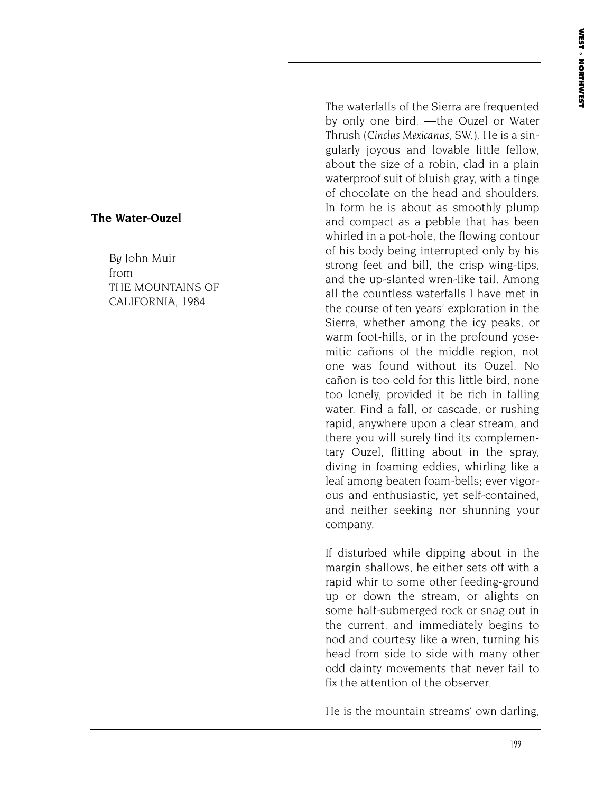## **The Water-Ouzel**

*By* John Muir from THE MOUNTAINS OF CALIFORNIA, 1984

The waterfalls of the Sierra are frequented by only one bird, —the Ouzel or Water Thrush (*Cinclus Mexicanus*, SW.). He is a singularly joyous and lovable little fellow, about the size of a robin, clad in a plain waterproof suit of bluish gray, with a tinge of chocolate on the head and shoulders. In form he is about as smoothly plump and compact as a pebble that has been whirled in a pot-hole, the flowing contour of his body being interrupted only by his strong feet and bill, the crisp wing-tips, and the up-slanted wren-like tail. Among all the countless waterfalls I have met in the course of ten years' exploration in the Sierra, whether among the icy peaks, or warm foot-hills, or in the profound yosemitic cañons of the middle region, not one was found without its Ouzel. No cañon is too cold for this little bird, none too lonely, provided it be rich in falling water. Find a fall, or cascade, or rushing rapid, anywhere upon a clear stream, and there you will surely find its complementary Ouzel, flitting about in the spray, diving in foaming eddies, whirling like a leaf among beaten foam-bells; ever vigorous and enthusiastic, yet self-contained, and neither seeking nor shunning your company.

If disturbed while dipping about in the margin shallows, he either sets off with a rapid whir to some other feeding-ground up or down the stream, or alights on some half-submerged rock or snag out in the current, and immediately begins to nod and courtesy like a wren, turning his head from side to side with many other odd dainty movements that never fail to fix the attention of the observer.

He is the mountain streams' own darling,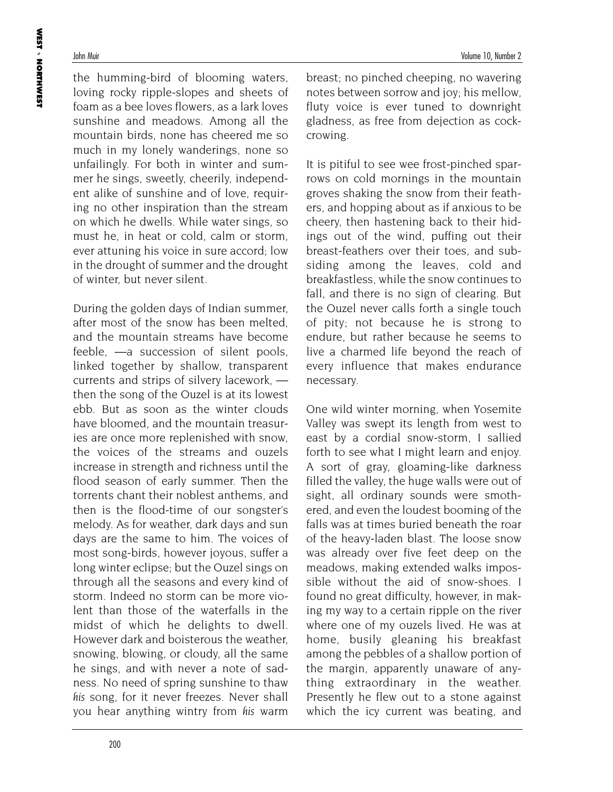the humming-bird of blooming waters, loving rocky ripple-slopes and sheets of foam as a bee loves flowers, as a lark loves sunshine and meadows. Among all the mountain birds, none has cheered me so much in my lonely wanderings, none so unfailingly. For both in winter and summer he sings, sweetly, cheerily, independent alike of sunshine and of love, requiring no other inspiration than the stream on which he dwells. While water sings, so must he, in heat or cold, calm or storm, ever attuning his voice in sure accord; low in the drought of summer and the drought of winter, but never silent.

During the golden days of Indian summer, after most of the snow has been melted, and the mountain streams have become feeble, —a succession of silent pools, linked together by shallow, transparent currents and strips of silvery lacework, then the song of the Ouzel is at its lowest ebb. But as soon as the winter clouds have bloomed, and the mountain treasuries are once more replenished with snow, the voices of the streams and ouzels increase in strength and richness until the flood season of early summer. Then the torrents chant their noblest anthems, and then is the flood-time of our songster's melody. As for weather, dark days and sun days are the same to him. The voices of most song-birds, however joyous, suffer a long winter eclipse; but the Ouzel sings on through all the seasons and every kind of storm. Indeed no storm can be more violent than those of the waterfalls in the midst of which he delights to dwell. However dark and boisterous the weather, snowing, blowing, or cloudy, all the same he sings, and with never a note of sadness. No need of spring sunshine to thaw *his* song, for it never freezes. Never shall you hear anything wintry from *his* warm

breast; no pinched cheeping, no wavering notes between sorrow and joy; his mellow, fluty voice is ever tuned to downright gladness, as free from dejection as cockcrowing.

It is pitiful to see wee frost-pinched sparrows on cold mornings in the mountain groves shaking the snow from their feathers, and hopping about as if anxious to be cheery, then hastening back to their hidings out of the wind, puffing out their breast-feathers over their toes, and subsiding among the leaves, cold and breakfastless, while the snow continues to fall, and there is no sign of clearing. But the Ouzel never calls forth a single touch of pity; not because he is strong to endure, but rather because he seems to live a charmed life beyond the reach of every influence that makes endurance necessary.

One wild winter morning, when Yosemite Valley was swept its length from west to east by a cordial snow-storm, I sallied forth to see what I might learn and enjoy. A sort of gray, gloaming-like darkness filled the valley, the huge walls were out of sight, all ordinary sounds were smothered, and even the loudest booming of the falls was at times buried beneath the roar of the heavy-laden blast. The loose snow was already over five feet deep on the meadows, making extended walks impossible without the aid of snow-shoes. I found no great difficulty, however, in making my way to a certain ripple on the river where one of my ouzels lived. He was at home, busily gleaning his breakfast among the pebbles of a shallow portion of the margin, apparently unaware of anything extraordinary in the weather. Presently he flew out to a stone against which the icy current was beating, and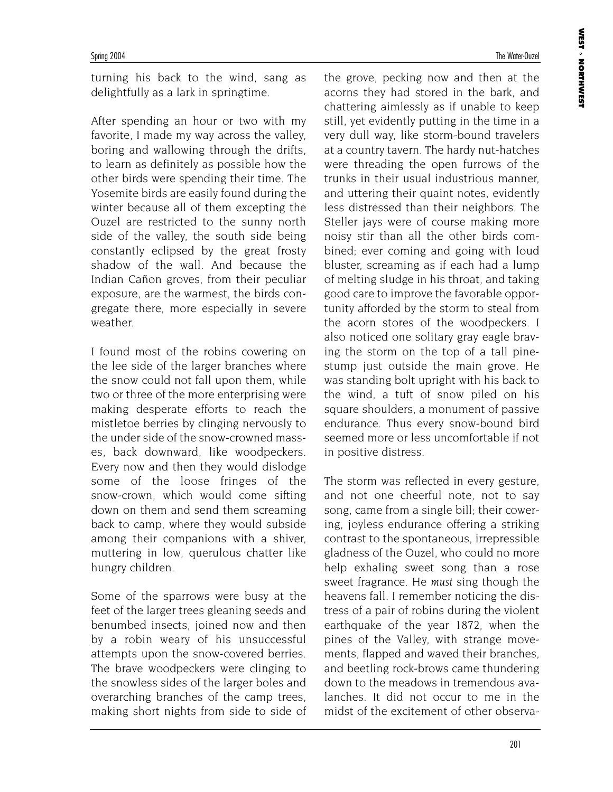turning his back to the wind, sang as delightfully as a lark in springtime.

After spending an hour or two with my favorite, I made my way across the valley, boring and wallowing through the drifts, to learn as definitely as possible how the other birds were spending their time. The Yosemite birds are easily found during the winter because all of them excepting the Ouzel are restricted to the sunny north side of the valley, the south side being constantly eclipsed by the great frosty shadow of the wall. And because the Indian Cañon groves, from their peculiar exposure, are the warmest, the birds congregate there, more especially in severe weather.

I found most of the robins cowering on the lee side of the larger branches where the snow could not fall upon them, while two or three of the more enterprising were making desperate efforts to reach the mistletoe berries by clinging nervously to the under side of the snow-crowned masses, back downward, like woodpeckers. Every now and then they would dislodge some of the loose fringes of the snow-crown, which would come sifting down on them and send them screaming back to camp, where they would subside among their companions with a shiver, muttering in low, querulous chatter like hungry children.

Some of the sparrows were busy at the feet of the larger trees gleaning seeds and benumbed insects, joined now and then by a robin weary of his unsuccessful attempts upon the snow-covered berries. The brave woodpeckers were clinging to the snowless sides of the larger boles and overarching branches of the camp trees, making short nights from side to side of the grove, pecking now and then at the acorns they had stored in the bark, and chattering aimlessly as if unable to keep still, yet evidently putting in the time in a very dull way, like storm-bound travelers at a country tavern. The hardy nut-hatches were threading the open furrows of the trunks in their usual industrious manner, and uttering their quaint notes, evidently less distressed than their neighbors. The Steller jays were of course making more noisy stir than all the other birds combined; ever coming and going with loud bluster, screaming as if each had a lump of melting sludge in his throat, and taking good care to improve the favorable opportunity afforded by the storm to steal from the acorn stores of the woodpeckers. I also noticed one solitary gray eagle braving the storm on the top of a tall pinestump just outside the main grove. He was standing bolt upright with his back to the wind, a tuft of snow piled on his square shoulders, a monument of passive endurance. Thus every snow-bound bird seemed more or less uncomfortable if not in positive distress.

The storm was reflected in every gesture, and not one cheerful note, not to say song, came from a single bill; their cowering, joyless endurance offering a striking contrast to the spontaneous, irrepressible gladness of the Ouzel, who could no more help exhaling sweet song than a rose sweet fragrance. He *must* sing though the heavens fall. I remember noticing the distress of a pair of robins during the violent earthquake of the year 1872, when the pines of the Valley, with strange movements, flapped and waved their branches, and beetling rock-brows came thundering down to the meadows in tremendous avalanches. It did not occur to me in the midst of the excitement of other observa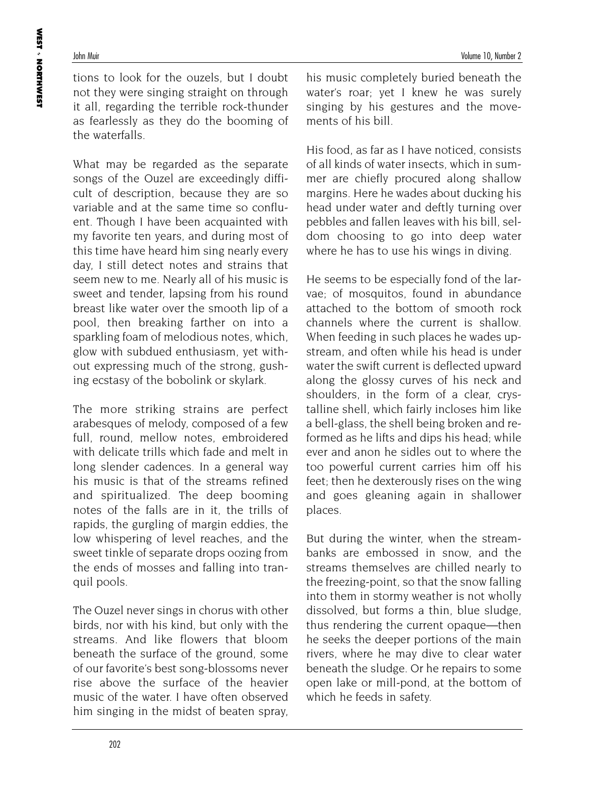tions to look for the ouzels, but I doubt not they were singing straight on through it all, regarding the terrible rock-thunder as fearlessly as they do the booming of the waterfalls.

What may be regarded as the separate songs of the Ouzel are exceedingly difficult of description, because they are so variable and at the same time so confluent. Though I have been acquainted with my favorite ten years, and during most of this time have heard him sing nearly every day, I still detect notes and strains that seem new to me. Nearly all of his music is sweet and tender, lapsing from his round breast like water over the smooth lip of a pool, then breaking farther on into a sparkling foam of melodious notes, which, glow with subdued enthusiasm, yet without expressing much of the strong, gushing ecstasy of the bobolink or skylark.

The more striking strains are perfect arabesques of melody, composed of a few full, round, mellow notes, embroidered with delicate trills which fade and melt in long slender cadences. In a general way his music is that of the streams refined and spiritualized. The deep booming notes of the falls are in it, the trills of rapids, the gurgling of margin eddies, the low whispering of level reaches, and the sweet tinkle of separate drops oozing from the ends of mosses and falling into tranquil pools.

The Ouzel never sings in chorus with other birds, nor with his kind, but only with the streams. And like flowers that bloom beneath the surface of the ground, some of our favorite's best song-blossoms never rise above the surface of the heavier music of the water. I have often observed him singing in the midst of beaten spray, his music completely buried beneath the water's roar; yet I knew he was surely singing by his gestures and the movements of his bill.

His food, as far as I have noticed, consists of all kinds of water insects, which in summer are chiefly procured along shallow margins. Here he wades about ducking his head under water and deftly turning over pebbles and fallen leaves with his bill, seldom choosing to go into deep water where he has to use his wings in diving.

He seems to be especially fond of the larvae; of mosquitos, found in abundance attached to the bottom of smooth rock channels where the current is shallow. When feeding in such places he wades upstream, and often while his head is under water the swift current is deflected upward along the glossy curves of his neck and shoulders, in the form of a clear, crystalline shell, which fairly incloses him like a bell-glass, the shell being broken and reformed as he lifts and dips his head; while ever and anon he sidles out to where the too powerful current carries him off his feet; then he dexterously rises on the wing and goes gleaning again in shallower places.

But during the winter, when the streambanks are embossed in snow, and the streams themselves are chilled nearly to the freezing-point, so that the snow falling into them in stormy weather is not wholly dissolved, but forms a thin, blue sludge, thus rendering the current opaque—then he seeks the deeper portions of the main rivers, where he may dive to clear water beneath the sludge. Or he repairs to some open lake or mill-pond, at the bottom of which he feeds in safety.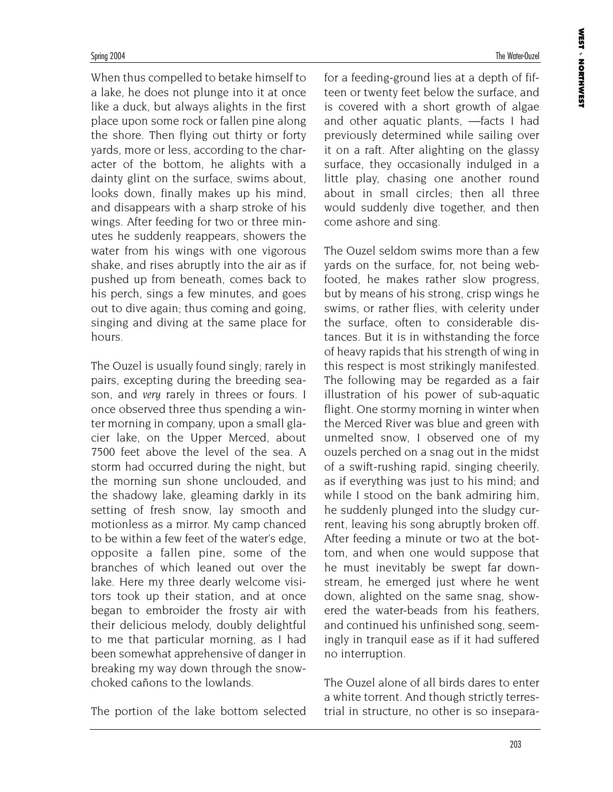When thus compelled to betake himself to a lake, he does not plunge into it at once like a duck, but always alights in the first place upon some rock or fallen pine along the shore. Then flying out thirty or forty yards, more or less, according to the character of the bottom, he alights with a dainty glint on the surface, swims about, looks down, finally makes up his mind, and disappears with a sharp stroke of his wings. After feeding for two or three minutes he suddenly reappears, showers the water from his wings with one vigorous shake, and rises abruptly into the air as if pushed up from beneath, comes back to his perch, sings a few minutes, and goes out to dive again; thus coming and going, singing and diving at the same place for hours.

The Ouzel is usually found singly; rarely in pairs, excepting during the breeding season, and *very* rarely in threes or fours. I once observed three thus spending a winter morning in company, upon a small glacier lake, on the Upper Merced, about 7500 feet above the level of the sea. A storm had occurred during the night, but the morning sun shone unclouded, and the shadowy lake, gleaming darkly in its setting of fresh snow, lay smooth and motionless as a mirror. My camp chanced to be within a few feet of the water's edge, opposite a fallen pine, some of the branches of which leaned out over the lake. Here my three dearly welcome visitors took up their station, and at once began to embroider the frosty air with their delicious melody, doubly delightful to me that particular morning, as I had been somewhat apprehensive of danger in breaking my way down through the snowchoked cañons to the lowlands.

The portion of the lake bottom selected

for a feeding-ground lies at a depth of fifteen or twenty feet below the surface, and is covered with a short growth of algae and other aquatic plants, —facts I had previously determined while sailing over it on a raft. After alighting on the glassy surface, they occasionally indulged in a little play, chasing one another round about in small circles; then all three would suddenly dive together, and then come ashore and sing.

The Ouzel seldom swims more than a few yards on the surface, for, not being webfooted, he makes rather slow progress, but by means of his strong, crisp wings he swims, or rather flies, with celerity under the surface, often to considerable distances. But it is in withstanding the force of heavy rapids that his strength of wing in this respect is most strikingly manifested. The following may be regarded as a fair illustration of his power of sub-aquatic flight. One stormy morning in winter when the Merced River was blue and green with unmelted snow, I observed one of my ouzels perched on a snag out in the midst of a swift-rushing rapid, singing cheerily, as if everything was just to his mind; and while I stood on the bank admiring him, he suddenly plunged into the sludgy current, leaving his song abruptly broken off. After feeding a minute or two at the bottom, and when one would suppose that he must inevitably be swept far downstream, he emerged just where he went down, alighted on the same snag, showered the water-beads from his feathers, and continued his unfinished song, seemingly in tranquil ease as if it had suffered no interruption.

The Ouzel alone of all birds dares to enter a white torrent. And though strictly terrestrial in structure, no other is so insepara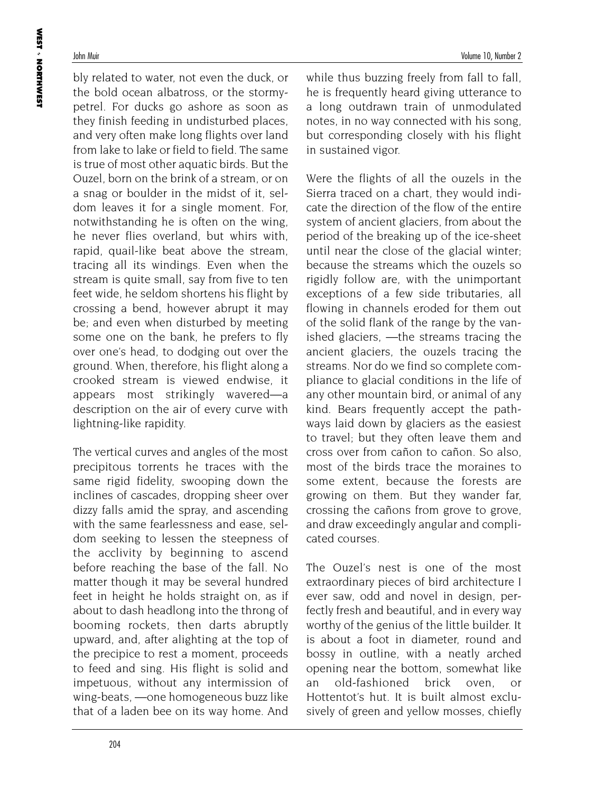bly related to water, not even the duck, or the bold ocean albatross, or the stormypetrel. For ducks go ashore as soon as they finish feeding in undisturbed places, and very often make long flights over land from lake to lake or field to field. The same is true of most other aquatic birds. But the Ouzel, born on the brink of a stream, or on a snag or boulder in the midst of it, seldom leaves it for a single moment. For, notwithstanding he is often on the wing, he never flies overland, but whirs with, rapid, quail-like beat above the stream, tracing all its windings. Even when the stream is quite small, say from five to ten feet wide, he seldom shortens his flight by crossing a bend, however abrupt it may be; and even when disturbed by meeting some one on the bank, he prefers to fly over one's head, to dodging out over the ground. When, therefore, his flight along a crooked stream is viewed endwise, it appears most strikingly wavered—a description on the air of every curve with lightning-like rapidity.

The vertical curves and angles of the most precipitous torrents he traces with the same rigid fidelity, swooping down the inclines of cascades, dropping sheer over dizzy falls amid the spray, and ascending with the same fearlessness and ease, seldom seeking to lessen the steepness of the acclivity by beginning to ascend before reaching the base of the fall. No matter though it may be several hundred feet in height he holds straight on, as if about to dash headlong into the throng of booming rockets, then darts abruptly upward, and, after alighting at the top of the precipice to rest a moment, proceeds to feed and sing. His flight is solid and impetuous, without any intermission of wing-beats, —one homogeneous buzz like that of a laden bee on its way home. And while thus buzzing freely from fall to fall, he is frequently heard giving utterance to a long outdrawn train of unmodulated notes, in no way connected with his song, but corresponding closely with his flight in sustained vigor.

Were the flights of all the ouzels in the Sierra traced on a chart, they would indicate the direction of the flow of the entire system of ancient glaciers, from about the period of the breaking up of the ice-sheet until near the close of the glacial winter; because the streams which the ouzels so rigidly follow are, with the unimportant exceptions of a few side tributaries, all flowing in channels eroded for them out of the solid flank of the range by the vanished glaciers, —the streams tracing the ancient glaciers, the ouzels tracing the streams. Nor do we find so complete compliance to glacial conditions in the life of any other mountain bird, or animal of any kind. Bears frequently accept the pathways laid down by glaciers as the easiest to travel; but they often leave them and cross over from cañon to cañon. So also, most of the birds trace the moraines to some extent, because the forests are growing on them. But they wander far, crossing the cañons from grove to grove, and draw exceedingly angular and complicated courses.

The Ouzel's nest is one of the most extraordinary pieces of bird architecture I ever saw, odd and novel in design, perfectly fresh and beautiful, and in every way worthy of the genius of the little builder. It is about a foot in diameter, round and bossy in outline, with a neatly arched opening near the bottom, somewhat like an old-fashioned brick oven, or Hottentot's hut. It is built almost exclusively of green and yellow mosses, chiefly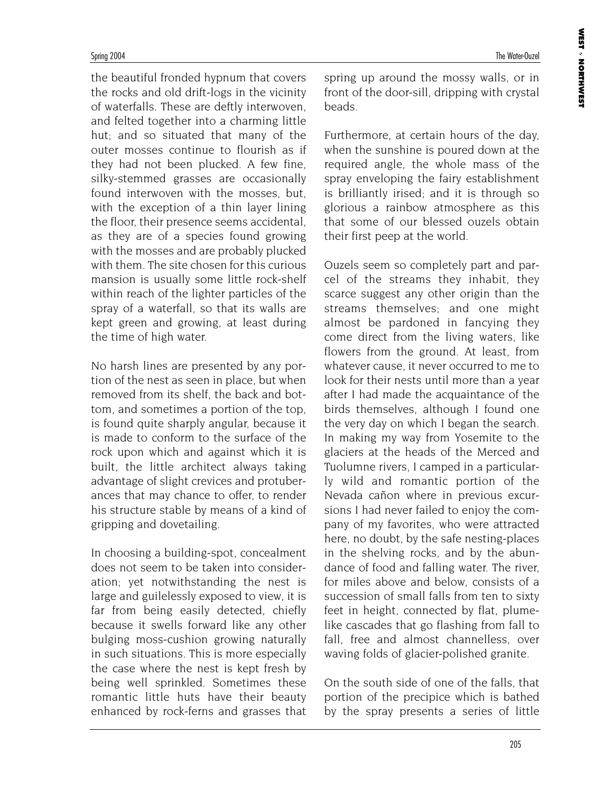the beautiful fronded hypnum that covers the rocks and old drift-logs in the vicinity of waterfalls. These are deftly interwoven, and felted together into a charming little hut; and so situated that many of the outer mosses continue to flourish as if they had not been plucked. A few fine, silky-stemmed grasses are occasionally found interwoven with the mosses, but, with the exception of a thin layer lining the floor, their presence seems accidental, as they are of a species found growing with the mosses and are probably plucked with them. The site chosen for this curious mansion is usually some little rock-shelf within reach of the lighter particles of the spray of a waterfall, so that its walls are kept green and growing, at least during the time of high water.

No harsh lines are presented by any portion of the nest as seen in place, but when removed from its shelf, the back and bottom, and sometimes a portion of the top, is found quite sharply angular, because it is made to conform to the surface of the rock upon which and against which it is built, the little architect always taking advantage of slight crevices and protuberances that may chance to offer, to render his structure stable by means of a kind of gripping and dovetailing.

In choosing a building-spot, concealment does not seem to be taken into consideration; yet notwithstanding the nest is large and guilelessly exposed to view, it is far from being easily detected, chiefly because it swells forward like any other bulging moss-cushion growing naturally in such situations. This is more especially the case where the nest is kept fresh by being well sprinkled. Sometimes these romantic little huts have their beauty enhanced by rock-ferns and grasses that spring up around the mossy walls, or in front of the door-sill, dripping with crystal beads.

Furthermore, at certain hours of the day, when the sunshine is poured down at the required angle, the whole mass of the spray enveloping the fairy establishment is brilliantly irised; and it is through so glorious a rainbow atmosphere as this that some of our blessed ouzels obtain their first peep at the world.

Ouzels seem so completely part and parcel of the streams they inhabit, they scarce suggest any other origin than the streams themselves; and one might almost be pardoned in fancying they come direct from the living waters, like flowers from the ground. At least, from whatever cause, it never occurred to me to look for their nests until more than a year after I had made the acquaintance of the birds themselves, although I found one the very day on which I began the search. In making my way from Yosemite to the glaciers at the heads of the Merced and Tuolumne rivers, I camped in a particularly wild and romantic portion of the Nevada cañon where in previous excursions I had never failed to enjoy the company of my favorites, who were attracted here, no doubt, by the safe nesting-places in the shelving rocks, and by the abundance of food and falling water. The river, for miles above and below, consists of a succession of small falls from ten to sixty feet in height, connected by flat, plumelike cascades that go flashing from fall to fall, free and almost channelless, over waving folds of glacier-polished granite.

On the south side of one of the falls, that portion of the precipice which is bathed by the spray presents a series of little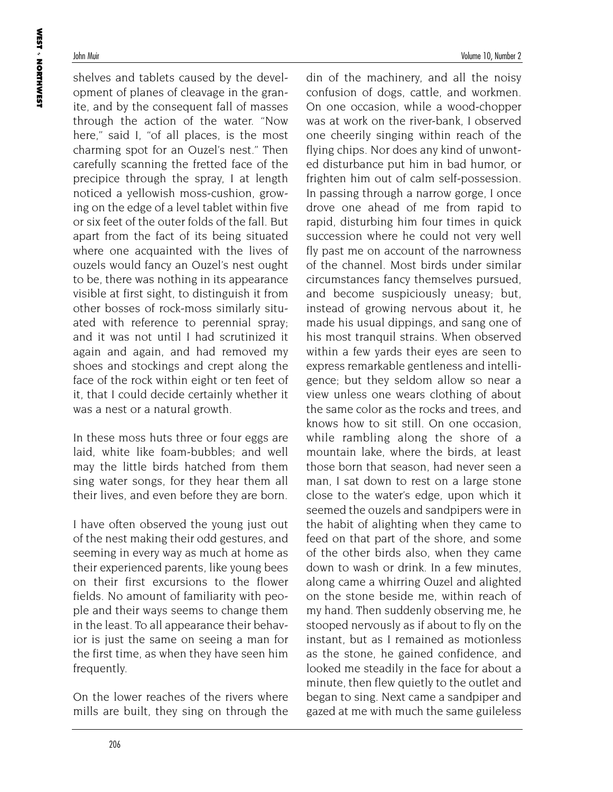shelves and tablets caused by the development of planes of cleavage in the granite, and by the consequent fall of masses through the action of the water. "Now here," said I, "of all places, is the most charming spot for an Ouzel's nest." Then carefully scanning the fretted face of the precipice through the spray, I at length noticed a yellowish moss-cushion, growing on the edge of a level tablet within five or six feet of the outer folds of the fall. But apart from the fact of its being situated where one acquainted with the lives of ouzels would fancy an Ouzel's nest ought to be, there was nothing in its appearance visible at first sight, to distinguish it from other bosses of rock-moss similarly situated with reference to perennial spray; and it was not until I had scrutinized it again and again, and had removed my shoes and stockings and crept along the face of the rock within eight or ten feet of it, that I could decide certainly whether it was a nest or a natural growth.

In these moss huts three or four eggs are laid, white like foam-bubbles; and well may the little birds hatched from them sing water songs, for they hear them all their lives, and even before they are born.

I have often observed the young just out of the nest making their odd gestures, and seeming in every way as much at home as their experienced parents, like young bees on their first excursions to the flower fields. No amount of familiarity with people and their ways seems to change them in the least. To all appearance their behavior is just the same on seeing a man for the first time, as when they have seen him frequently.

On the lower reaches of the rivers where mills are built, they sing on through the

din of the machinery, and all the noisy confusion of dogs, cattle, and workmen. On one occasion, while a wood-chopper was at work on the river-bank, I observed one cheerily singing within reach of the flying chips. Nor does any kind of unwonted disturbance put him in bad humor, or frighten him out of calm self-possession. In passing through a narrow gorge, I once drove one ahead of me from rapid to rapid, disturbing him four times in quick succession where he could not very well fly past me on account of the narrowness of the channel. Most birds under similar circumstances fancy themselves pursued, and become suspiciously uneasy; but, instead of growing nervous about it, he made his usual dippings, and sang one of his most tranquil strains. When observed within a few yards their eyes are seen to express remarkable gentleness and intelligence; but they seldom allow so near a view unless one wears clothing of about the same color as the rocks and trees, and knows how to sit still. On one occasion, while rambling along the shore of a mountain lake, where the birds, at least those born that season, had never seen a man, I sat down to rest on a large stone close to the water's edge, upon which it seemed the ouzels and sandpipers were in the habit of alighting when they came to feed on that part of the shore, and some of the other birds also, when they came down to wash or drink. In a few minutes, along came a whirring Ouzel and alighted on the stone beside me, within reach of my hand. Then suddenly observing me, he stooped nervously as if about to fly on the instant, but as I remained as motionless as the stone, he gained confidence, and looked me steadily in the face for about a minute, then flew quietly to the outlet and began to sing. Next came a sandpiper and gazed at me with much the same guileless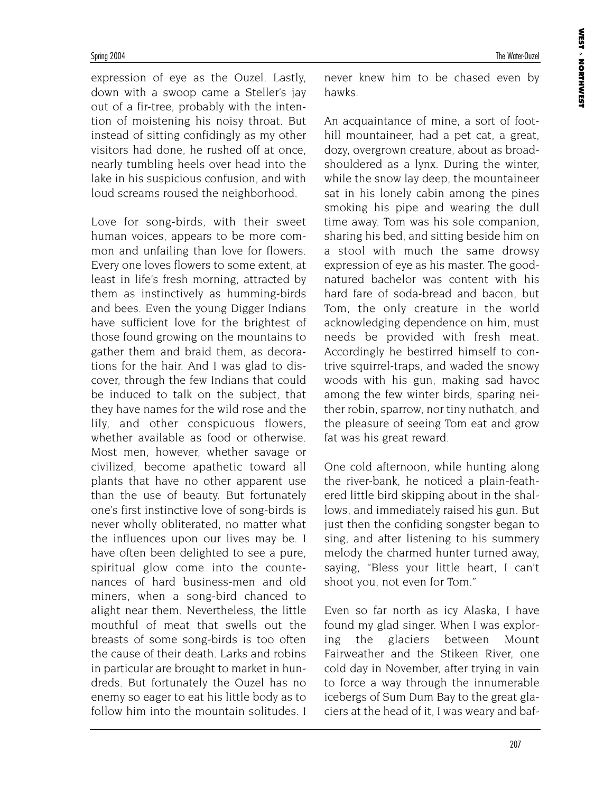expression of eye as the Ouzel. Lastly, down with a swoop came a Steller's jay out of a fir-tree, probably with the intention of moistening his noisy throat. But instead of sitting confidingly as my other visitors had done, he rushed off at once, nearly tumbling heels over head into the lake in his suspicious confusion, and with loud screams roused the neighborhood.

Love for song-birds, with their sweet human voices, appears to be more common and unfailing than love for flowers. Every one loves flowers to some extent, at least in life's fresh morning, attracted by them as instinctively as humming-birds and bees. Even the young Digger Indians have sufficient love for the brightest of those found growing on the mountains to gather them and braid them, as decorations for the hair. And I was glad to discover, through the few Indians that could be induced to talk on the subject, that they have names for the wild rose and the lily, and other conspicuous flowers, whether available as food or otherwise. Most men, however, whether savage or civilized, become apathetic toward all plants that have no other apparent use than the use of beauty. But fortunately one's first instinctive love of song-birds is never wholly obliterated, no matter what the influences upon our lives may be. I have often been delighted to see a pure, spiritual glow come into the countenances of hard business-men and old miners, when a song-bird chanced to alight near them. Nevertheless, the little mouthful of meat that swells out the breasts of some song-birds is too often the cause of their death. Larks and robins in particular are brought to market in hundreds. But fortunately the Ouzel has no enemy so eager to eat his little body as to follow him into the mountain solitudes. I

never knew him to be chased even by hawks.

An acquaintance of mine, a sort of foothill mountaineer, had a pet cat, a great, dozy, overgrown creature, about as broadshouldered as a lynx. During the winter, while the snow lay deep, the mountaineer sat in his lonely cabin among the pines smoking his pipe and wearing the dull time away. Tom was his sole companion, sharing his bed, and sitting beside him on a stool with much the same drowsy expression of eye as his master. The goodnatured bachelor was content with his hard fare of soda-bread and bacon, but Tom, the only creature in the world acknowledging dependence on him, must needs be provided with fresh meat. Accordingly he bestirred himself to contrive squirrel-traps, and waded the snowy woods with his gun, making sad havoc among the few winter birds, sparing neither robin, sparrow, nor tiny nuthatch, and the pleasure of seeing Tom eat and grow fat was his great reward.

One cold afternoon, while hunting along the river-bank, he noticed a plain-feathered little bird skipping about in the shallows, and immediately raised his gun. But just then the confiding songster began to sing, and after listening to his summery melody the charmed hunter turned away, saying, "Bless your little heart, I can't shoot you, not even for Tom."

Even so far north as icy Alaska, I have found my glad singer. When I was exploring the glaciers between Mount Fairweather and the Stikeen River, one cold day in November, after trying in vain to force a way through the innumerable icebergs of Sum Dum Bay to the great glaciers at the head of it, I was weary and baf